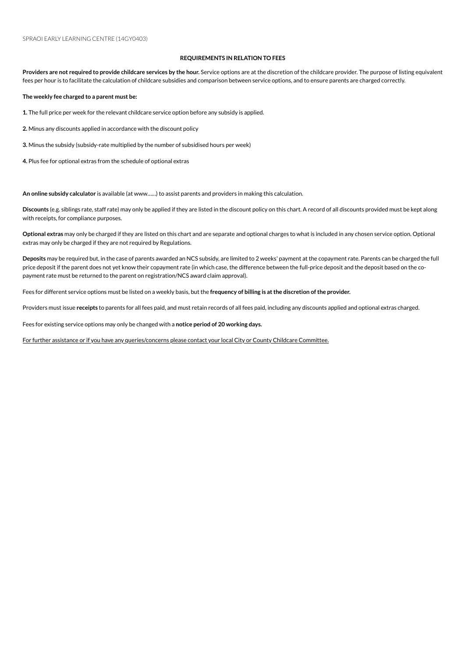## **REQUIREMENTS IN RELATION TO FEES**

Providers are not required to provide childcare services by the hour. Service options are at the discretion of the childcare provider. The purpose of listing equivalent fees per hour is to facilitate the calculation of childcare subsidies and comparison between service options, and to ensure parents are charged correctly.

**The weekly fee charged to a parent must be:**

1. The full price per week for the relevant childcare service option before any subsidy is applied.

2. Minus any discounts applied in accordance with the discount policy

**3.** Minus the subsidy (subsidy-rate multiplied by the number of subsidised hours per week)

4. Plus fee for optional extras from the schedule of optional extras

An online subsidy calculator is available (at www......) to assist parents and providers in making this calculation.

**Discounts** (e.g. siblings rate, staff rate) mayonly be applied if they are listed inthe discount policyonthis chart. A record of all discounts provided must be kept along with receipts, for compliance purposes.

**Optional extras** mayonly be charged if they are listed onthis chart and are separate and optional charges to what is included inany chosenserviceoption. Optional extras may only be charged if they are not required by Regulations.

Deposits may be required but, in the case of parents awarded an NCS subsidy, are limited to 2 weeks' payment at the copayment rate. Parents can be charged the full price deposit if the parent does not yet know their copayment rate (in which case, the difference between the full-price deposit and the deposit based on the copayment rate must be returned to the parent on registration/NCS award claim approval).

Fees for different serviceoptions must be listed ona weekly basis, but the **frequency of billing is atthe discretion ofthe provider.**

Providers must issue receipts to parents for all fees paid, and must retain records of all fees paid, including any discounts applied and optional extras charged.

Fees for existing service options may only be changed with a notice period of 20 working days.

For further assistance or if you have any queries/concerns please contact your local City or County Childcare Committee.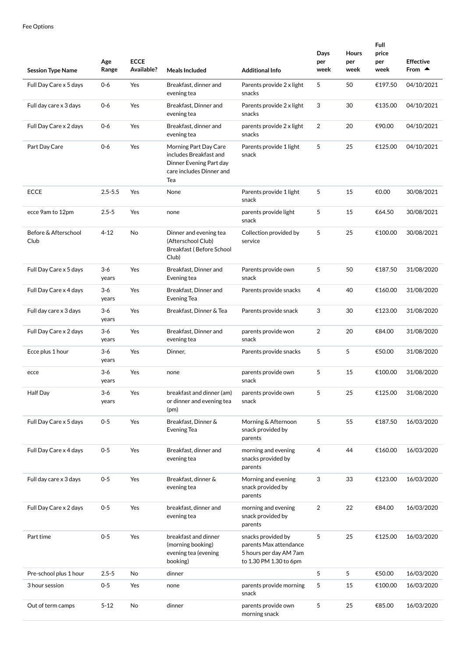| <b>Session Type Name</b>     | Age<br>Range   | <b>ECCE</b><br>Available? | <b>Meals Included</b>                                                                                         | <b>Additional Info</b>                                                                           | Days<br>per<br>week | <b>Hours</b><br>per<br>week | Full<br>price<br>per<br>week | <b>Effective</b><br>From $\triangle$ |
|------------------------------|----------------|---------------------------|---------------------------------------------------------------------------------------------------------------|--------------------------------------------------------------------------------------------------|---------------------|-----------------------------|------------------------------|--------------------------------------|
| Full Day Care x 5 days       | $0-6$          | Yes                       | Breakfast, dinner and<br>evening tea                                                                          | Parents provide 2 x light<br>snacks                                                              | 5                   | 50                          | €197.50                      | 04/10/2021                           |
| Full day care x 3 days       | $0 - 6$        | Yes                       | Breakfast, Dinner and<br>evening tea                                                                          | Parents provide 2 x light<br>snacks                                                              | 3                   | 30                          | €135.00                      | 04/10/2021                           |
| Full Day Care x 2 days       | $0-6$          | Yes                       | Breakfast, dinner and<br>evening tea                                                                          | parents provide 2 x light<br>snacks                                                              | 2                   | 20                          | €90.00                       | 04/10/2021                           |
| Part Day Care                | $0-6$          | Yes                       | Morning Part Day Care<br>includes Breakfast and<br>Dinner Evening Part day<br>care includes Dinner and<br>Tea | Parents provide 1 light<br>snack                                                                 | 5                   | 25                          | €125.00                      | 04/10/2021                           |
| <b>ECCE</b>                  | $2.5 - 5.5$    | Yes                       | None                                                                                                          | Parents provide 1 light<br>snack                                                                 | 5                   | 15                          | €0.00                        | 30/08/2021                           |
| ecce 9am to 12pm             | $2.5 - 5$      | Yes                       | none                                                                                                          | parents provide light<br>snack                                                                   | 5                   | 15                          | €64.50                       | 30/08/2021                           |
| Before & Afterschool<br>Club | $4 - 12$       | No                        | Dinner and evening tea<br>(Afterschool Club)<br>Breakfast (Before School<br>Club)                             | Collection provided by<br>service                                                                | 5                   | 25                          | €100.00                      | 30/08/2021                           |
| Full Day Care x 5 days       | $3-6$<br>years | Yes                       | Breakfast, Dinner and<br>Evening tea                                                                          | Parents provide own<br>snack                                                                     | 5                   | 50                          | €187.50                      | 31/08/2020                           |
| Full Day Care x 4 days       | $3-6$<br>years | Yes                       | Breakfast, Dinner and<br>Evening Tea                                                                          | Parents provide snacks                                                                           | $\overline{4}$      | 40                          | €160.00                      | 31/08/2020                           |
| Full day care x 3 days       | $3-6$<br>years | Yes                       | Breakfast, Dinner & Tea                                                                                       | Parents provide snack                                                                            | 3                   | 30                          | €123.00                      | 31/08/2020                           |
| Full Day Care x 2 days       | $3-6$<br>years | Yes                       | Breakfast, Dinner and<br>evening tea                                                                          | parents provide won<br>snack                                                                     | $\overline{2}$      | 20                          | €84.00                       | 31/08/2020                           |
| Ecce plus 1 hour             | $3-6$<br>years | Yes                       | Dinner,                                                                                                       | Parents provide snacks                                                                           | 5                   | 5                           | €50.00                       | 31/08/2020                           |
| ecce                         | $3-6$<br>years | Yes                       | none                                                                                                          | parents provide own<br>snack                                                                     | 5                   | 15                          | €100.00                      | 31/08/2020                           |
| Half Day                     | 3-6<br>years   | Yes                       | breakfast and dinner (am)<br>or dinner and evening tea<br>(pm)                                                | parents provide own<br>snack                                                                     | 5                   | 25                          | €125.00                      | 31/08/2020                           |
| Full Day Care x 5 days       | $0 - 5$        | Yes                       | Breakfast, Dinner &<br><b>Evening Tea</b>                                                                     | Morning & Afternoon<br>snack provided by<br>parents                                              | 5                   | 55                          | €187.50                      | 16/03/2020                           |
| Full Day Care x 4 days       | $0 - 5$        | Yes                       | Breakfast, dinner and<br>evening tea                                                                          | morning and evening<br>snacks provided by<br>parents                                             | 4                   | 44                          | €160.00                      | 16/03/2020                           |
| Full day care x 3 days       | $0 - 5$        | Yes                       | Breakfast, dinner &<br>evening tea                                                                            | Morning and evening<br>snack provided by<br>parents                                              | 3                   | 33                          | €123.00                      | 16/03/2020                           |
| Full Day Care x 2 days       | $0 - 5$        | Yes                       | breakfast, dinner and<br>evening tea                                                                          | morning and evening<br>snack provided by<br>parents                                              | 2                   | 22                          | €84.00                       | 16/03/2020                           |
| Part time                    | $0 - 5$        | Yes                       | breakfast and dinner<br>(morning booking)<br>evening tea (evening<br>booking)                                 | snacks provided by<br>parents Max attendance<br>5 hours per day AM 7am<br>to 1.30 PM 1.30 to 6pm | 5                   | 25                          | €125.00                      | 16/03/2020                           |
| Pre-school plus 1 hour       | $2.5 - 5$      | No                        | dinner                                                                                                        |                                                                                                  | 5                   | 5                           | €50.00                       | 16/03/2020                           |
| 3 hour session               | 0-5            | Yes                       | none                                                                                                          | parents provide morning<br>snack                                                                 | 5                   | 15                          | €100.00                      | 16/03/2020                           |
| Out of term camps            | $5 - 12$       | No                        | dinner                                                                                                        | parents provide own<br>morning snack                                                             | 5                   | 25                          | €85.00                       | 16/03/2020                           |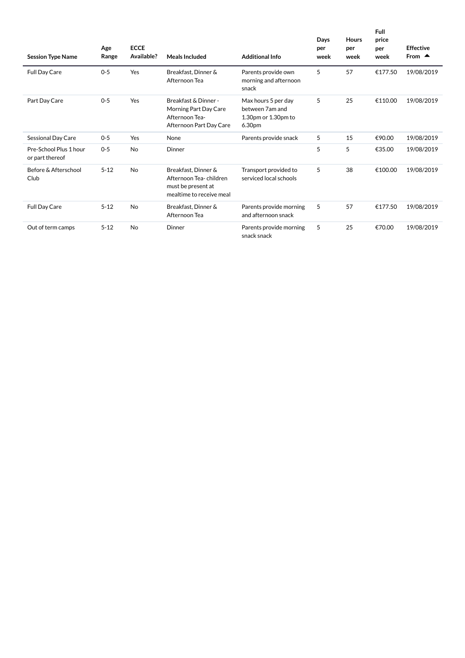| <b>Session Type Name</b>                  | Age<br>Range | <b>ECCE</b><br>Available? | Meals Included                                                                                  | <b>Additional Info</b>                                                  | Davs<br>per<br>week | <b>Hours</b><br>per<br>week | <b>Full</b><br>price<br>per<br>week | Effective<br>From $\triangle$ |
|-------------------------------------------|--------------|---------------------------|-------------------------------------------------------------------------------------------------|-------------------------------------------------------------------------|---------------------|-----------------------------|-------------------------------------|-------------------------------|
| Full Day Care                             | $0 - 5$      | Yes                       | Breakfast, Dinner &<br>Afternoon Tea                                                            | Parents provide own<br>morning and afternoon<br>snack                   | 5                   | 57                          | €177.50                             | 19/08/2019                    |
| Part Day Care                             | $O - 5$      | Yes                       | Breakfast & Dinner -<br>Morning Part Day Care<br>Afternoon Tea-<br>Afternoon Part Day Care      | Max hours 5 per day<br>between 7am and<br>1.30pm or 1.30pm to<br>6.30pm | 5                   | 25                          | €110.00                             | 19/08/2019                    |
| <b>Sessional Day Care</b>                 | $O - 5$      | Yes                       | None                                                                                            | Parents provide snack                                                   | 5                   | 15                          | €90.00                              | 19/08/2019                    |
| Pre-School Plus 1 hour<br>or part thereof | $O - 5$      | <b>No</b>                 | Dinner                                                                                          |                                                                         | 5                   | 5                           | €35.00                              | 19/08/2019                    |
| Before & Afterschool<br>Club              | $5 - 12$     | <b>No</b>                 | Breakfast, Dinner &<br>Afternoon Tea-children<br>must be present at<br>mealtime to receive meal | Transport provided to<br>serviced local schools                         | 5                   | 38                          | €100.00                             | 19/08/2019                    |
| <b>Full Day Care</b>                      | $5 - 12$     | <b>No</b>                 | Breakfast, Dinner &<br>Afternoon Tea                                                            | Parents provide morning<br>and afternoon snack                          | 5                   | 57                          | €177.50                             | 19/08/2019                    |
| Out of term camps                         | $5 - 12$     | <b>No</b>                 | Dinner                                                                                          | Parents provide morning<br>snack snack                                  | 5                   | 25                          | €70.00                              | 19/08/2019                    |